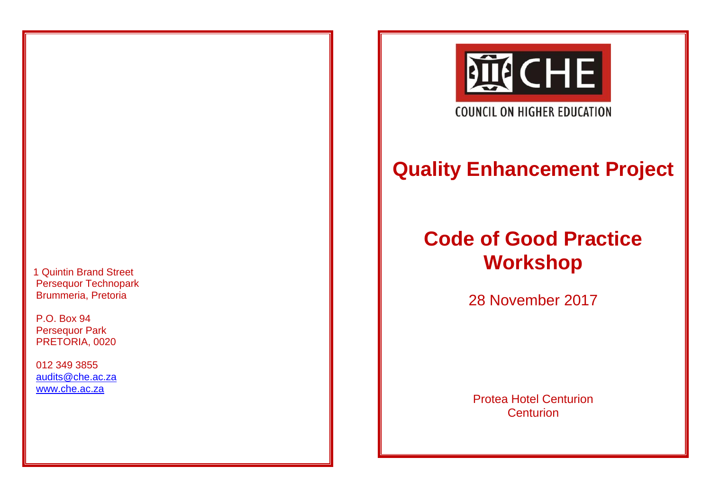1 Quintin Brand Street Persequor Technopark Brummeria, Pretoria

 P.O. Box 94 Persequor Park PRETORIA, 0020

 012 349 3855 [audits@che.ac.za](mailto:audits@che.ac.za) www.che.ac.za



## **Quality Enhancement Project**

## **Code of Good Practice Workshop**

28 November 2017

Protea Hotel Centurion **Centurion**